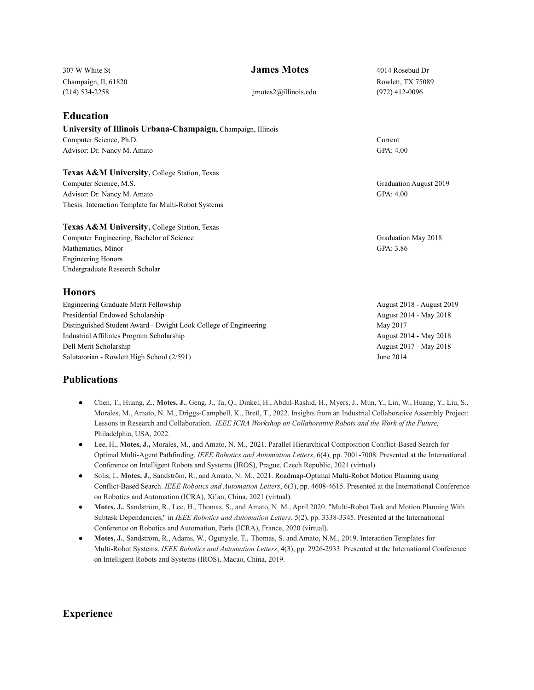| 307 W White St                                                   | <b>James Motes</b>   | 4014 Rosebud Dr           |
|------------------------------------------------------------------|----------------------|---------------------------|
| Champaign, Il, 61820                                             |                      | Rowlett, TX 75089         |
| $(214) 534 - 2258$                                               | imotes2@illinois.edu | $(972)$ 412-0096          |
| <b>Education</b>                                                 |                      |                           |
| University of Illinois Urbana-Champaign, Champaign, Illinois     |                      |                           |
| Computer Science, Ph.D.                                          |                      | Current                   |
| Advisor: Dr. Nancy M. Amato                                      |                      | GPA: 4.00                 |
| Texas A&M University, College Station, Texas                     |                      |                           |
| Computer Science, M.S.                                           |                      | Graduation August 2019    |
| Advisor: Dr. Nancy M. Amato                                      |                      | GPA: 4.00                 |
| Thesis: Interaction Template for Multi-Robot Systems             |                      |                           |
| Texas A&M University, College Station, Texas                     |                      |                           |
| Computer Engineering, Bachelor of Science                        |                      | Graduation May 2018       |
| Mathematics, Minor                                               |                      | GPA: 3.86                 |
| <b>Engineering Honors</b>                                        |                      |                           |
| Undergraduate Research Scholar                                   |                      |                           |
| <b>Honors</b>                                                    |                      |                           |
| <b>Engineering Graduate Merit Fellowship</b>                     |                      | August 2018 - August 2019 |
| Presidential Endowed Scholarship                                 |                      | August 2014 - May 2018    |
| Distinguished Student Award - Dwight Look College of Engineering |                      | May 2017                  |
| Industrial Affiliates Program Scholarship                        |                      | August 2014 - May 2018    |
| Dell Merit Scholarship                                           |                      | August 2017 - May 2018    |
| Salutatorian - Rowlett High School (2/591)                       |                      | June 2014                 |

## **Publications**

- Chen, T., Huang, Z., **Motes, J.**, Geng, J., Ta, Q., Dinkel, H., Abdul-Rashid, H., Myers, J., Mun, Y., Lin, W., Huang, Y., Liu, S., Morales, M., Amato, N. M., Driggs-Campbell, K., Bretl, T., 2022. Insights from an Industrial Collaborative Assembly Project: Lessons in Research and Collaboration. *IEEE ICRA Workshop on Collaborative Robots and the Work of the Future,* Philadelphia, USA, 2022.
- Lee, H., **Motes, J.,** Morales, M., and Amato, N. M., 2021. Parallel Hierarchical Composition Conflict-Based Search for Optimal Multi-Agent Pathfinding. *IEEE Robotics and Automation Letters*, 6(4), pp. 7001-7008. Presented at the International Conference on Intelligent Robots and Systems (IROS), Prague, Czech Republic, 2021 (virtual).
- Solis, I., **Motes, J.**, Sandström, R., and Amato, N. M., 2021. Roadmap-Optimal Multi-Robot Motion Planning using Conflict-Based Search. *IEEE Robotics and Automation Letters*, 6(3), pp. 4608-4615. Presented at the International Conference on Robotics and Automation (ICRA), Xi'an, China, 2021 (virtual).
- **Motes, J.**, Sandström, R., Lee, H., Thomas, S., and Amato, N. M., April 2020. "Multi-Robot Task and Motion Planning With Subtask Dependencies," in *IEEE Robotics and Automation Letters*, 5(2), pp. 3338-3345. Presented at the International Conference on Robotics and Automation, Paris (ICRA), France, 2020 (virtual).
- **Motes, J.**, Sandström, R., Adams, W., Ogunyale, T., Thomas, S. and Amato, N.M., 2019. Interaction Templates for Multi-Robot Systems. *IEEE Robotics and Automation Letters*, 4(3), pp. 2926-2933. Presented at the International Conference on Intelligent Robots and Systems (IROS), Macao, China, 2019.

## **Experience**